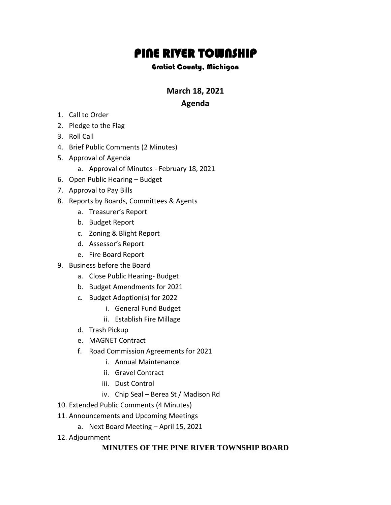# PINE RIVER TOWNSHIP

#### Gratiot County, Michigan

**March 18, 2021**

## **Agenda**

- 1. Call to Order
- 2. Pledge to the Flag
- 3. Roll Call
- 4. Brief Public Comments (2 Minutes)
- 5. Approval of Agenda
	- a. Approval of Minutes February 18, 2021
- 6. Open Public Hearing Budget
- 7. Approval to Pay Bills
- 8. Reports by Boards, Committees & Agents
	- a. Treasurer's Report
	- b. Budget Report
	- c. Zoning & Blight Report
	- d. Assessor's Report
	- e. Fire Board Report
- 9. Business before the Board
	- a. Close Public Hearing- Budget
	- b. Budget Amendments for 2021
	- c. Budget Adoption(s) for 2022
		- i. General Fund Budget
		- ii. Establish Fire Millage
	- d. Trash Pickup
	- e. MAGNET Contract
	- f. Road Commission Agreements for 2021
		- i. Annual Maintenance
		- ii. Gravel Contract
		- iii. Dust Control
		- iv. Chip Seal Berea St / Madison Rd
- 10. Extended Public Comments (4 Minutes)
- 11. Announcements and Upcoming Meetings
	- a. Next Board Meeting April 15, 2021
- 12. Adjournment

### **MINUTES OF THE PINE RIVER TOWNSHIP BOARD**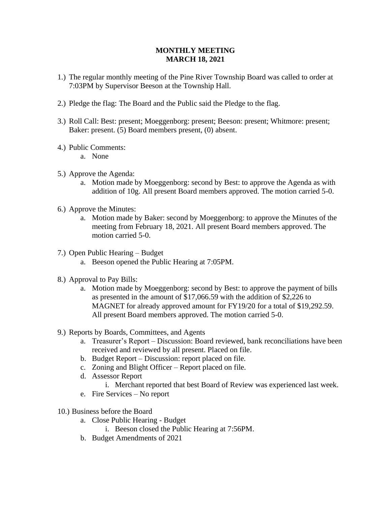#### **MONTHLY MEETING MARCH 18, 2021**

- 1.) The regular monthly meeting of the Pine River Township Board was called to order at 7:03PM by Supervisor Beeson at the Township Hall.
- 2.) Pledge the flag: The Board and the Public said the Pledge to the flag.
- 3.) Roll Call: Best: present; Moeggenborg: present; Beeson: present; Whitmore: present; Baker: present. (5) Board members present, (0) absent.
- 4.) Public Comments:
	- a. None
- 5.) Approve the Agenda:
	- a. Motion made by Moeggenborg: second by Best: to approve the Agenda as with addition of 10g. All present Board members approved. The motion carried 5-0.
- 6.) Approve the Minutes:
	- a. Motion made by Baker: second by Moeggenborg: to approve the Minutes of the meeting from February 18, 2021. All present Board members approved. The motion carried 5-0.
- 7.) Open Public Hearing Budget
	- a. Beeson opened the Public Hearing at 7:05PM.
- 8.) Approval to Pay Bills:
	- a. Motion made by Moeggenborg: second by Best: to approve the payment of bills as presented in the amount of \$17,066.59 with the addition of \$2,226 to MAGNET for already approved amount for FY19/20 for a total of \$19,292.59. All present Board members approved. The motion carried 5-0.
- 9.) Reports by Boards, Committees, and Agents
	- a. Treasurer's Report Discussion: Board reviewed, bank reconciliations have been received and reviewed by all present. Placed on file.
	- b. Budget Report Discussion: report placed on file.
	- c. Zoning and Blight Officer Report placed on file.
	- d. Assessor Report
		- i. Merchant reported that best Board of Review was experienced last week.
	- e. Fire Services No report
- 10.) Business before the Board
	- a. Close Public Hearing Budget
		- i. Beeson closed the Public Hearing at 7:56PM.
	- b. Budget Amendments of 2021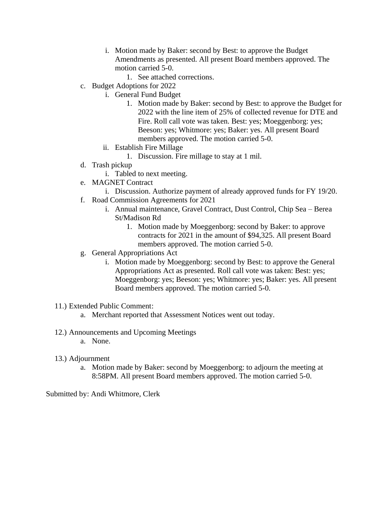- i. Motion made by Baker: second by Best: to approve the Budget Amendments as presented. All present Board members approved. The motion carried 5-0.
	- 1. See attached corrections.
- c. Budget Adoptions for 2022
	- i. General Fund Budget
		- 1. Motion made by Baker: second by Best: to approve the Budget for 2022 with the line item of 25% of collected revenue for DTE and Fire. Roll call vote was taken. Best: yes; Moeggenborg: yes; Beeson: yes; Whitmore: yes; Baker: yes. All present Board members approved. The motion carried 5-0.
	- ii. Establish Fire Millage
		- 1. Discussion. Fire millage to stay at 1 mil.
- d. Trash pickup
	- i. Tabled to next meeting.
- e. MAGNET Contract
	- i. Discussion. Authorize payment of already approved funds for FY 19/20.
- f. Road Commission Agreements for 2021
	- i. Annual maintenance, Gravel Contract, Dust Control, Chip Sea Berea St/Madison Rd
		- 1. Motion made by Moeggenborg: second by Baker: to approve contracts for 2021 in the amount of \$94,325. All present Board members approved. The motion carried 5-0.
- g. General Appropriations Act
	- i. Motion made by Moeggenborg: second by Best: to approve the General Appropriations Act as presented. Roll call vote was taken: Best: yes; Moeggenborg: yes; Beeson: yes; Whitmore: yes; Baker: yes. All present Board members approved. The motion carried 5-0.
- 11.) Extended Public Comment:
	- a. Merchant reported that Assessment Notices went out today.
- 12.) Announcements and Upcoming Meetings
	- a. None.
- 13.) Adjournment
	- a. Motion made by Baker: second by Moeggenborg: to adjourn the meeting at 8:58PM. All present Board members approved. The motion carried 5-0.

Submitted by: Andi Whitmore, Clerk